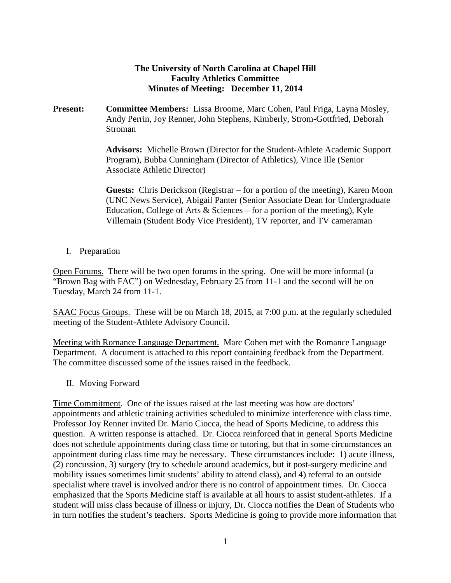## **The University of North Carolina at Chapel Hill Faculty Athletics Committee Minutes of Meeting: December 11, 2014**

**Present: Committee Members:** Lissa Broome, Marc Cohen, Paul Friga, Layna Mosley, Andy Perrin, Joy Renner, John Stephens, Kimberly, Strom-Gottfried, Deborah Stroman

> **Advisors:** Michelle Brown (Director for the Student-Athlete Academic Support Program), Bubba Cunningham (Director of Athletics), Vince Ille (Senior Associate Athletic Director)

> **Guests:** Chris Derickson (Registrar – for a portion of the meeting), Karen Moon (UNC News Service), Abigail Panter (Senior Associate Dean for Undergraduate Education, College of Arts  $\&$  Sciences – for a portion of the meeting), Kyle Villemain (Student Body Vice President), TV reporter, and TV cameraman

I. Preparation

Open Forums. There will be two open forums in the spring. One will be more informal (a "Brown Bag with FAC") on Wednesday, February 25 from 11-1 and the second will be on Tuesday, March 24 from 11-1.

SAAC Focus Groups. These will be on March 18, 2015, at 7:00 p.m. at the regularly scheduled meeting of the Student-Athlete Advisory Council.

Meeting with Romance Language Department. Marc Cohen met with the Romance Language Department. A document is attached to this report containing feedback from the Department. The committee discussed some of the issues raised in the feedback.

II. Moving Forward

Time Commitment. One of the issues raised at the last meeting was how are doctors' appointments and athletic training activities scheduled to minimize interference with class time. Professor Joy Renner invited Dr. Mario Ciocca, the head of Sports Medicine, to address this question. A written response is attached. Dr. Ciocca reinforced that in general Sports Medicine does not schedule appointments during class time or tutoring, but that in some circumstances an appointment during class time may be necessary. These circumstances include: 1) acute illness, (2) concussion, 3) surgery (try to schedule around academics, but it post-surgery medicine and mobility issues sometimes limit students' ability to attend class), and 4) referral to an outside specialist where travel is involved and/or there is no control of appointment times. Dr. Ciocca emphasized that the Sports Medicine staff is available at all hours to assist student-athletes. If a student will miss class because of illness or injury, Dr. Ciocca notifies the Dean of Students who in turn notifies the student's teachers. Sports Medicine is going to provide more information that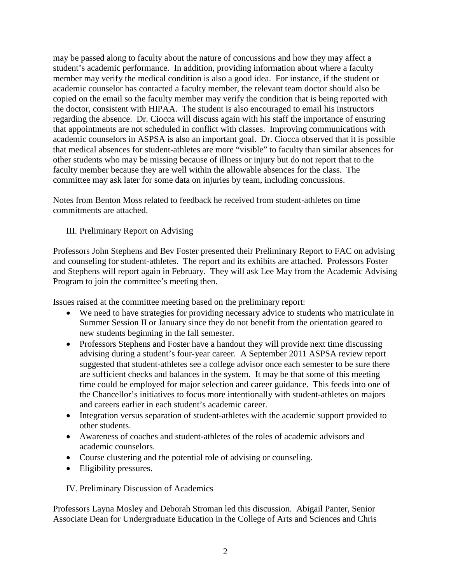may be passed along to faculty about the nature of concussions and how they may affect a student's academic performance. In addition, providing information about where a faculty member may verify the medical condition is also a good idea. For instance, if the student or academic counselor has contacted a faculty member, the relevant team doctor should also be copied on the email so the faculty member may verify the condition that is being reported with the doctor, consistent with HIPAA. The student is also encouraged to email his instructors regarding the absence. Dr. Ciocca will discuss again with his staff the importance of ensuring that appointments are not scheduled in conflict with classes. Improving communications with academic counselors in ASPSA is also an important goal. Dr. Ciocca observed that it is possible that medical absences for student-athletes are more "visible" to faculty than similar absences for other students who may be missing because of illness or injury but do not report that to the faculty member because they are well within the allowable absences for the class. The committee may ask later for some data on injuries by team, including concussions.

Notes from Benton Moss related to feedback he received from student-athletes on time commitments are attached.

III. Preliminary Report on Advising

Professors John Stephens and Bev Foster presented their Preliminary Report to FAC on advising and counseling for student-athletes. The report and its exhibits are attached. Professors Foster and Stephens will report again in February. They will ask Lee May from the Academic Advising Program to join the committee's meeting then.

Issues raised at the committee meeting based on the preliminary report:

- We need to have strategies for providing necessary advice to students who matriculate in Summer Session II or January since they do not benefit from the orientation geared to new students beginning in the fall semester.
- Professors Stephens and Foster have a handout they will provide next time discussing advising during a student's four-year career. A September 2011 ASPSA review report suggested that student-athletes see a college advisor once each semester to be sure there are sufficient checks and balances in the system. It may be that some of this meeting time could be employed for major selection and career guidance. This feeds into one of the Chancellor's initiatives to focus more intentionally with student-athletes on majors and careers earlier in each student's academic career.
- Integration versus separation of student-athletes with the academic support provided to other students.
- Awareness of coaches and student-athletes of the roles of academic advisors and academic counselors.
- Course clustering and the potential role of advising or counseling.
- Eligibility pressures.

IV. Preliminary Discussion of Academics

Professors Layna Mosley and Deborah Stroman led this discussion. Abigail Panter, Senior Associate Dean for Undergraduate Education in the College of Arts and Sciences and Chris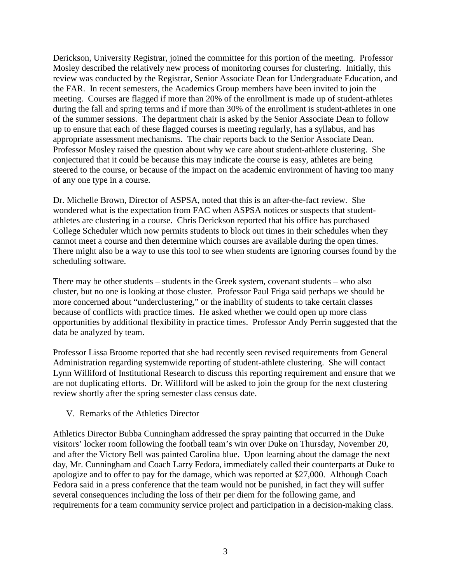Derickson, University Registrar, joined the committee for this portion of the meeting. Professor Mosley described the relatively new process of monitoring courses for clustering. Initially, this review was conducted by the Registrar, Senior Associate Dean for Undergraduate Education, and the FAR. In recent semesters, the Academics Group members have been invited to join the meeting. Courses are flagged if more than 20% of the enrollment is made up of student-athletes during the fall and spring terms and if more than 30% of the enrollment is student-athletes in one of the summer sessions. The department chair is asked by the Senior Associate Dean to follow up to ensure that each of these flagged courses is meeting regularly, has a syllabus, and has appropriate assessment mechanisms. The chair reports back to the Senior Associate Dean. Professor Mosley raised the question about why we care about student-athlete clustering. She conjectured that it could be because this may indicate the course is easy, athletes are being steered to the course, or because of the impact on the academic environment of having too many of any one type in a course.

Dr. Michelle Brown, Director of ASPSA, noted that this is an after-the-fact review. She wondered what is the expectation from FAC when ASPSA notices or suspects that studentathletes are clustering in a course. Chris Derickson reported that his office has purchased College Scheduler which now permits students to block out times in their schedules when they cannot meet a course and then determine which courses are available during the open times. There might also be a way to use this tool to see when students are ignoring courses found by the scheduling software.

There may be other students – students in the Greek system, covenant students – who also cluster, but no one is looking at those cluster. Professor Paul Friga said perhaps we should be more concerned about "underclustering," or the inability of students to take certain classes because of conflicts with practice times. He asked whether we could open up more class opportunities by additional flexibility in practice times. Professor Andy Perrin suggested that the data be analyzed by team.

Professor Lissa Broome reported that she had recently seen revised requirements from General Administration regarding systemwide reporting of student-athlete clustering. She will contact Lynn Williford of Institutional Research to discuss this reporting requirement and ensure that we are not duplicating efforts. Dr. Williford will be asked to join the group for the next clustering review shortly after the spring semester class census date.

V. Remarks of the Athletics Director

Athletics Director Bubba Cunningham addressed the spray painting that occurred in the Duke visitors' locker room following the football team's win over Duke on Thursday, November 20, and after the Victory Bell was painted Carolina blue. Upon learning about the damage the next day, Mr. Cunningham and Coach Larry Fedora, immediately called their counterparts at Duke to apologize and to offer to pay for the damage, which was reported at \$27,000. Although Coach Fedora said in a press conference that the team would not be punished, in fact they will suffer several consequences including the loss of their per diem for the following game, and requirements for a team community service project and participation in a decision-making class.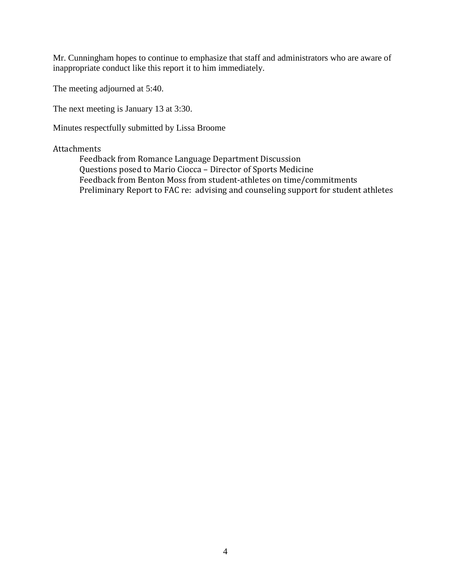Mr. Cunningham hopes to continue to emphasize that staff and administrators who are aware of inappropriate conduct like this report it to him immediately.

The meeting adjourned at 5:40.

The next meeting is January 13 at 3:30.

Minutes respectfully submitted by Lissa Broome

## Attachments

Feedback from Romance Language Department Discussion Questions posed to Mario Ciocca – Director of Sports Medicine Feedback from Benton Moss from student-athletes on time/commitments Preliminary Report to FAC re: advising and counseling support for student athletes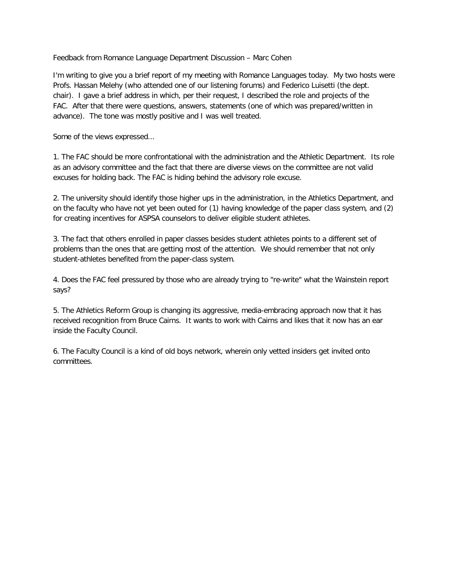Feedback from Romance Language Department Discussion – Marc Cohen

I'm writing to give you a brief report of my meeting with Romance Languages today. My two hosts were Profs. Hassan Melehy (who attended one of our listening forums) and Federico Luisetti (the dept. chair). I gave a brief address in which, per their request, I described the role and projects of the FAC. After that there were questions, answers, statements (one of which was prepared/written in advance). The tone was mostly positive and I was well treated.

Some of the views expressed...

1. The FAC should be more confrontational with the administration and the Athletic Department. Its role as an advisory committee and the fact that there are diverse views on the committee are not valid excuses for holding back. The FAC is hiding behind the advisory role excuse.

2. The university should identify those higher ups in the administration, in the Athletics Department, and on the faculty who have not yet been outed for (1) having knowledge of the paper class system, and (2) for creating incentives for ASPSA counselors to deliver eligible student athletes.

3. The fact that others enrolled in paper classes besides student athletes points to a different set of problems than the ones that are getting most of the attention. We should remember that not only student-athletes benefited from the paper-class system.

4. Does the FAC feel pressured by those who are already trying to "re-write" what the Wainstein report says?

5. The Athletics Reform Group is changing its aggressive, media-embracing approach now that it has received recognition from Bruce Cairns. It wants to work with Cairns and likes that it now has an ear inside the Faculty Council.

6. The Faculty Council is a kind of old boys network, wherein only vetted insiders get invited onto committees.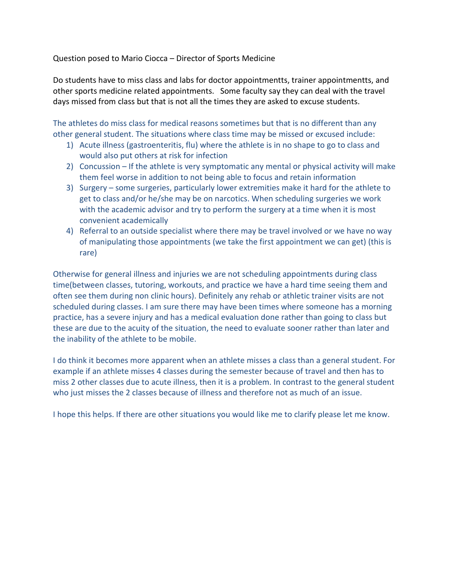Question posed to Mario Ciocca – Director of Sports Medicine

Do students have to miss class and labs for doctor appointmentts, trainer appointmentts, and other sports medicine related appointments. Some faculty say they can deal with the travel days missed from class but that is not all the times they are asked to excuse students.

The athletes do miss class for medical reasons sometimes but that is no different than any other general student. The situations where class time may be missed or excused include:

- 1) Acute illness (gastroenteritis, flu) where the athlete is in no shape to go to class and would also put others at risk for infection
- 2) Concussion If the athlete is very symptomatic any mental or physical activity will make them feel worse in addition to not being able to focus and retain information
- 3) Surgery some surgeries, particularly lower extremities make it hard for the athlete to get to class and/or he/she may be on narcotics. When scheduling surgeries we work with the academic advisor and try to perform the surgery at a time when it is most convenient academically
- 4) Referral to an outside specialist where there may be travel involved or we have no way of manipulating those appointments (we take the first appointment we can get) (this is rare)

Otherwise for general illness and injuries we are not scheduling appointments during class time(between classes, tutoring, workouts, and practice we have a hard time seeing them and often see them during non clinic hours). Definitely any rehab or athletic trainer visits are not scheduled during classes. I am sure there may have been times where someone has a morning practice, has a severe injury and has a medical evaluation done rather than going to class but these are due to the acuity of the situation, the need to evaluate sooner rather than later and the inability of the athlete to be mobile.

I do think it becomes more apparent when an athlete misses a class than a general student. For example if an athlete misses 4 classes during the semester because of travel and then has to miss 2 other classes due to acute illness, then it is a problem. In contrast to the general student who just misses the 2 classes because of illness and therefore not as much of an issue.

I hope this helps. If there are other situations you would like me to clarify please let me know.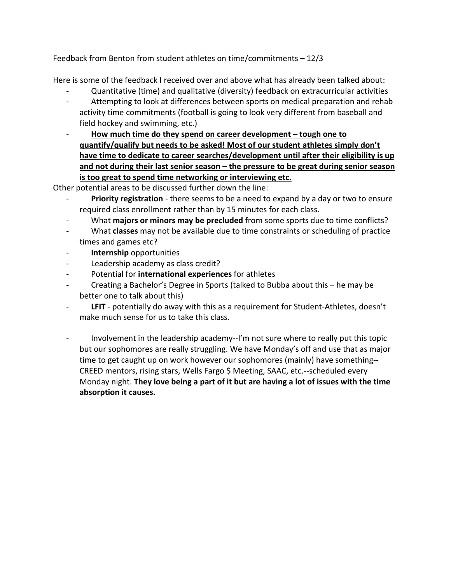Feedback from Benton from student athletes on time/commitments – 12/3

Here is some of the feedback I received over and above what has already been talked about:

- Quantitative (time) and qualitative (diversity) feedback on extracurricular activities
- Attempting to look at differences between sports on medical preparation and rehab activity time commitments (football is going to look very different from baseball and field hockey and swimming, etc.)
- **How much time do they spend on career development – tough one to quantify/qualify but needs to be asked! Most of our student athletes simply don't have time to dedicate to career searches/development until after their eligibility is up and not during their last senior season – the pressure to be great during senior season is too great to spend time networking or interviewing etc.**

Other potential areas to be discussed further down the line:

- **Priority registration** there seems to be a need to expand by a day or two to ensure required class enrollment rather than by 15 minutes for each class.
- What **majors or minors may be precluded** from some sports due to time conflicts?
- What **classes** may not be available due to time constraints or scheduling of practice times and games etc?
- **Internship** opportunities
- Leadership academy as class credit?
- Potential for **international experiences** for athletes
- Creating a Bachelor's Degree in Sports (talked to Bubba about this he may be better one to talk about this)
- LFIT potentially do away with this as a requirement for Student-Athletes, doesn't make much sense for us to take this class.
- Involvement in the leadership academy--I'm not sure where to really put this topic but our sophomores are really struggling. We have Monday's off and use that as major time to get caught up on work however our sophomores (mainly) have something-- CREED mentors, rising stars, Wells Fargo \$ Meeting, SAAC, etc.--scheduled every Monday night. **They love being a part of it but are having a lot of issues with the time absorption it causes.**